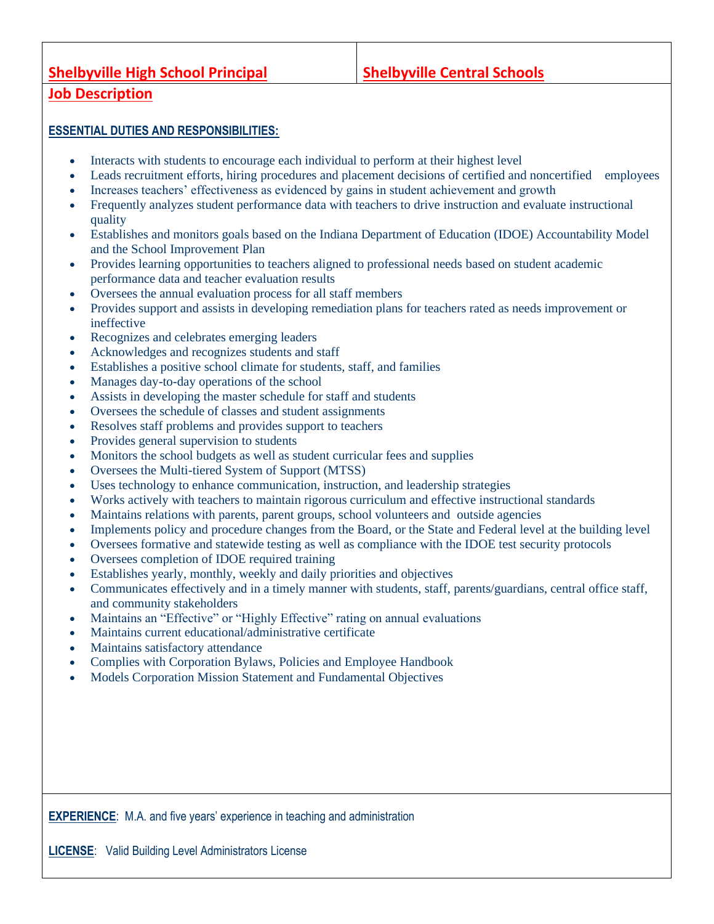## **Shelbyville High School Principal Shelbyville Central Schools**

## **Job Description**

## **ESSENTIAL DUTIES AND RESPONSIBILITIES:**

- Interacts with students to encourage each individual to perform at their highest level
- Leads recruitment efforts, hiring procedures and placement decisions of certified and noncertified employees
- Increases teachers' effectiveness as evidenced by gains in student achievement and growth
- Frequently analyzes student performance data with teachers to drive instruction and evaluate instructional quality
- Establishes and monitors goals based on the Indiana Department of Education (IDOE) Accountability Model and the School Improvement Plan
- Provides learning opportunities to teachers aligned to professional needs based on student academic performance data and teacher evaluation results
- Oversees the annual evaluation process for all staff members
- Provides support and assists in developing remediation plans for teachers rated as needs improvement or ineffective
- Recognizes and celebrates emerging leaders
- Acknowledges and recognizes students and staff
- Establishes a positive school climate for students, staff, and families
- Manages day-to-day operations of the school
- Assists in developing the master schedule for staff and students
- Oversees the schedule of classes and student assignments
- Resolves staff problems and provides support to teachers
- Provides general supervision to students
- Monitors the school budgets as well as student curricular fees and supplies
- Oversees the Multi-tiered System of Support (MTSS)
- Uses technology to enhance communication, instruction, and leadership strategies
- Works actively with teachers to maintain rigorous curriculum and effective instructional standards
- Maintains relations with parents, parent groups, school volunteers and outside agencies
- Implements policy and procedure changes from the Board, or the State and Federal level at the building level
- Oversees formative and statewide testing as well as compliance with the IDOE test security protocols
- Oversees completion of IDOE required training
- Establishes yearly, monthly, weekly and daily priorities and objectives
- Communicates effectively and in a timely manner with students, staff, parents/guardians, central office staff, and community stakeholders
- Maintains an "Effective" or "Highly Effective" rating on annual evaluations
- Maintains current educational/administrative certificate
- Maintains satisfactory attendance
- Complies with Corporation Bylaws, Policies and Employee Handbook
- Models Corporation Mission Statement and Fundamental Objectives

**EXPERIENCE:** M.A. and five years' experience in teaching and administration

**LICENSE**: Valid Building Level Administrators License